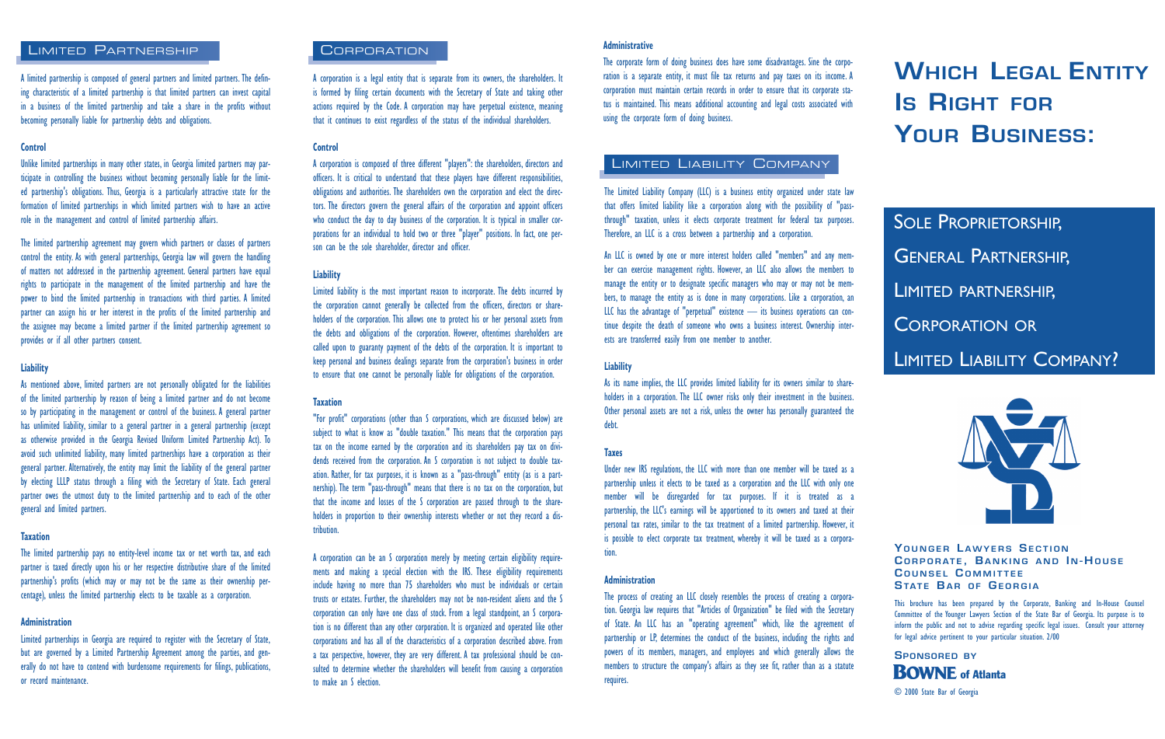### LIMITED PARTNERSHIP

A limited partnership is composed of general partners and limited partners. The defining characteristic of a limited partnership is that limited partners can invest capital in a business of the limited partnership and take a share in the profits without becoming personally liable for partnership debts and obligations.

#### **Control**

Unlike limited partnerships in many other states, in Georgia limited partners may participate in controlling the business without becoming personally liable for the limited partnership's obligations. Thus, Georgia is a particularly attractive state for the formation of limited partnerships in which limited partners wish to have an active role in the management and control of limited partnership affairs.

The limited partnership agreement may govern which partners or classes of partners control the entity. As with general partnerships, Georgia law will govern the handling of matters not addressed in the partnership agreement. General partners have equal rights to participate in the management of the limited partnership and have the power to bind the limited partnership in transactions with third parties. A limited partner can assign his or her interest in the profits of the limited partnership and the assignee may become a limited partner if the limited partnership agreement so provides or if all other partners consent.

#### **Liability**

As mentioned above, limited partners are not personally obligated for the liabilities of the limited partnership by reason of being a limited partner and do not become so by participating in the management or control of the business. A general partner has unlimited liability, similar to a general partner in a general partnership (except as otherwise provided in the Georgia Revised Uniform Limited Partnership Act). To avoid such unlimited liability, many limited partnerships have a corporation as their general partner. Alternatively, the entity may limit the liability of the general partner by electing LLLP status through a filing with the Secretary of State. Each general partner owes the utmost duty to the limited partnership and to each of the other general and limited partners.

#### **Taxation**

The limited partnership pays no entity-level income tax or net worth tax, and each partner is taxed directly upon his or her respective distributive share of the limited partnership's profits (which may or may not be the same as their ownership percentage), unless the limited partnership elects to be taxable as a corporation.

#### **Administration**

Limited partnerships in Georgia are required to register with the Secretary of State, but are governed by a Limited Partnership Agreement among the parties, and generally do not have to contend with burdensome requirements for filings, publications, or record maintenance.

# CORPORATION **Administrative**

A corporation is a legal entity that is separate from its owners, the shareholders. It is formed by filing certain documents with the Secretary of State and taking other actions required by the Code. A corporation may have perpetual existence, meaning that it continues to exist regardless of the status of the individual shareholders.

#### **Control**

A corporation is composed of three different "players": the shareholders, directors and officers. It is critical to understand that these players have different responsibilities, obligations and authorities. The shareholders own the corporation and elect the directors. The directors govern the general affairs of the corporation and appoint officers who conduct the day to day business of the corporation. It is typical in smaller corporations for an individual to hold two or three "player" positions. In fact, one person can be the sole shareholder, director and officer

#### **Liability**

Limited liability is the most important reason to incorporate. The debts incurred by the corporation cannot generally be collected from the officers, directors or shareholders of the corporation. This allows one to protect his or her personal assets from the debts and obligations of the corporation. However, oftentimes shareholders are called upon to guaranty payment of the debts of the corporation. It is important to keep personal and business dealings separate from the corporation's business in order to ensure that one cannot be personally liable for obligations of the corporation.

#### **Taxation**

"For profit" corporations (other than S corporations, which are discussed below) are subject to what is know as "double taxation." This means that the corporation pays tax on the income earned by the corporation and its shareholders pay tax on dividends received from the corporation. An S corporation is not subject to double taxation. Rather, for tax purposes, it is known as a "pass-through" entity (as is a partnership). The term "pass-through" means that there is no tax on the corporation, but that the income and losses of the S corporation are passed through to the shareholders in proportion to their ownership interests whether or not they record a distribution.

A corporation can be an S corporation merely by meeting certain eligibility requirements and making a special election with the IRS. These eligibility requirements include having no more than 75 shareholders who must be individuals or certain trusts or estates. Further, the shareholders may not be non-resident aliens and the S corporation can only have one class of stock. From a legal standpoint, an S corporation is no different than any other corporation. It is organized and operated like other corporations and has all of the characteristics of a corporation described above. From a tax perspective, however, they are very different. A tax professional should be consulted to determine whether the shareholders will benefit from causing a corporation to make an S election.

The corporate form of doing business does have some disadvantages. Sine the corporation is a separate entity, it must file tax returns and pay taxes on its income. A corporation must maintain certain records in order to ensure that its corporate status is maintained. This means additional accounting and legal costs associated with using the corporate form of doing business.

# LIMITED LIABILITY COMPANY

The Limited Liability Company (LLC) is a business entity organized under state law that offers limited liability like a corporation along with the possibility of "passthrough" taxation, unless it elects corporate treatment for federal tax purposes. Therefore, an LLC is a cross between a partnership and a corporation.

An LLC is owned by one or more interest holders called "members" and any member can exercise management rights. However, an LLC also allows the members to manage the entity or to designate specific managers who may or may not be members, to manage the entity as is done in many corporations. Like a corporation, an LLC has the advantage of "perpetual" existence — its business operations can continue despite the death of someone who owns a business interest. Ownership interests are transferred easily from one member to another.

#### **Liability**

As its name implies, the LLC provides limited liability for its owners similar to shareholders in a corporation. The LLC owner risks only their investment in the business. Other personal assets are not a risk, unless the owner has personally guaranteed the debt.

#### **Taxes**

Under new IRS regulations, the LLC with more than one member will be taxed as a partnership unless it elects to be taxed as a corporation and the LLC with only one member will be disregarded for tax purposes. If it is treated as a partnership, the LLC's earnings will be apportioned to its owners and taxed at their personal tax rates, similar to the tax treatment of a limited partnership. However, it is possible to elect corporate tax treatment, whereby it will be taxed as a corporation.

#### **Administration**

The process of creating an LLC closely resembles the process of creating a corporation. Georgia law requires that "Articles of Organization" be filed with the Secretary of State. An LLC has an "operating agreement" which, like the agreement of partnership or LP, determines the conduct of the business, including the rights and powers of its members, managers, and employees and which generally allows the members to structure the company's affairs as they see fit, rather than as a statute requires.

**WHICH LEGAL ENTITY IS RIGHT FOR YOUR BUSINESS:**

# **SOLE PROPRIETORSHIP,** GENERAL PARTNERSHIP, LIMITED PARTNERSHIP, CORPORATION OR LIMITED LIABILITY COMPANY?



**Y OUNGER L AWYERS SECTION C ORPORATE , BANKING AND I N - HOUSE C OUNSEL C OMMITTEE STATE BAR OF GEORGIA**

This brochure has been prepared by the Corporate, Banking and In-House Counsel Committee of the Younger Lawyers Section of the State Bar of Georgia. Its purpose is to inform the public and not to advise regarding specific legal issues. Consult your attorney for legal advice pertinent to your particular situation. 2/00

**SPONSORED BY** © 2000 State Bar of Georgia **BOWNE** of Atlanta